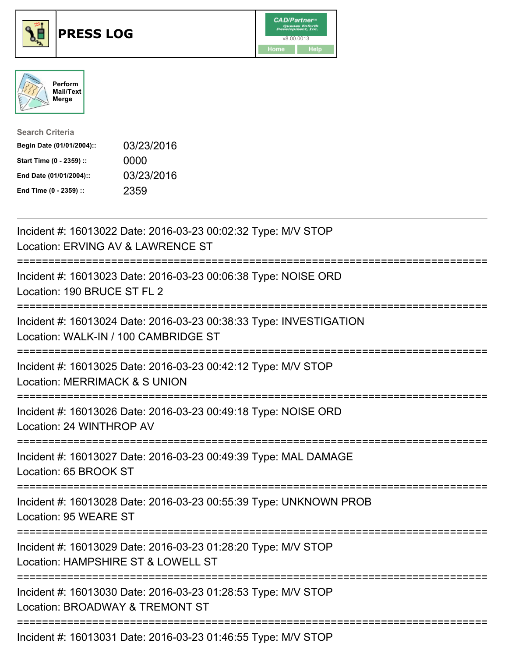





| <b>Search Criteria</b>    |            |
|---------------------------|------------|
| Begin Date (01/01/2004):: | 03/23/2016 |
| Start Time (0 - 2359) ::  | 0000       |
| End Date (01/01/2004)::   | 03/23/2016 |
| End Time (0 - 2359) ::    | 2359       |

| Incident #: 16013022 Date: 2016-03-23 00:02:32 Type: M/V STOP<br>Location: ERVING AV & LAWRENCE ST                                                                         |
|----------------------------------------------------------------------------------------------------------------------------------------------------------------------------|
| Incident #: 16013023 Date: 2016-03-23 00:06:38 Type: NOISE ORD<br>Location: 190 BRUCE ST FL 2                                                                              |
| Incident #: 16013024 Date: 2016-03-23 00:38:33 Type: INVESTIGATION<br>Location: WALK-IN / 100 CAMBRIDGE ST                                                                 |
| Incident #: 16013025 Date: 2016-03-23 00:42:12 Type: M/V STOP<br>Location: MERRIMACK & S UNION                                                                             |
| Incident #: 16013026 Date: 2016-03-23 00:49:18 Type: NOISE ORD<br>Location: 24 WINTHROP AV                                                                                 |
| Incident #: 16013027 Date: 2016-03-23 00:49:39 Type: MAL DAMAGE<br>Location: 65 BROOK ST                                                                                   |
| Incident #: 16013028 Date: 2016-03-23 00:55:39 Type: UNKNOWN PROB<br>Location: 95 WEARE ST                                                                                 |
| =====================================<br>Incident #: 16013029 Date: 2016-03-23 01:28:20 Type: M/V STOP<br>Location: HAMPSHIRE ST & LOWELL ST<br>-------------------------- |
| Incident #: 16013030 Date: 2016-03-23 01:28:53 Type: M/V STOP<br>Location: BROADWAY & TREMONT ST                                                                           |
| Incident #: 16013031 Date: 2016-03-23 01:46:55 Type: M/V STOP                                                                                                              |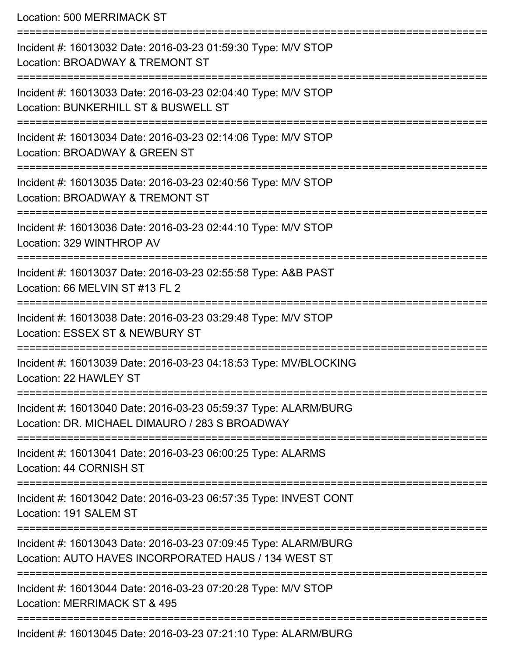Location: 500 MERRIMACK ST

| Incident #: 16013032 Date: 2016-03-23 01:59:30 Type: M/V STOP<br>Location: BROADWAY & TREMONT ST                        |
|-------------------------------------------------------------------------------------------------------------------------|
| Incident #: 16013033 Date: 2016-03-23 02:04:40 Type: M/V STOP<br>Location: BUNKERHILL ST & BUSWELL ST                   |
| Incident #: 16013034 Date: 2016-03-23 02:14:06 Type: M/V STOP<br>Location: BROADWAY & GREEN ST                          |
| Incident #: 16013035 Date: 2016-03-23 02:40:56 Type: M/V STOP<br>Location: BROADWAY & TREMONT ST                        |
| Incident #: 16013036 Date: 2016-03-23 02:44:10 Type: M/V STOP<br>Location: 329 WINTHROP AV                              |
| Incident #: 16013037 Date: 2016-03-23 02:55:58 Type: A&B PAST<br>Location: 66 MELVIN ST #13 FL 2                        |
| Incident #: 16013038 Date: 2016-03-23 03:29:48 Type: M/V STOP<br>Location: ESSEX ST & NEWBURY ST                        |
| Incident #: 16013039 Date: 2016-03-23 04:18:53 Type: MV/BLOCKING<br>Location: 22 HAWLEY ST                              |
| Incident #: 16013040 Date: 2016-03-23 05:59:37 Type: ALARM/BURG<br>Location: DR. MICHAEL DIMAURO / 283 S BROADWAY       |
| Incident #: 16013041 Date: 2016-03-23 06:00:25 Type: ALARMS<br>Location: 44 CORNISH ST                                  |
| Incident #: 16013042 Date: 2016-03-23 06:57:35 Type: INVEST CONT<br>Location: 191 SALEM ST                              |
| Incident #: 16013043 Date: 2016-03-23 07:09:45 Type: ALARM/BURG<br>Location: AUTO HAVES INCORPORATED HAUS / 134 WEST ST |
| Incident #: 16013044 Date: 2016-03-23 07:20:28 Type: M/V STOP<br>Location: MERRIMACK ST & 495                           |
|                                                                                                                         |

Incident #: 16013045 Date: 2016-03-23 07:21:10 Type: ALARM/BURG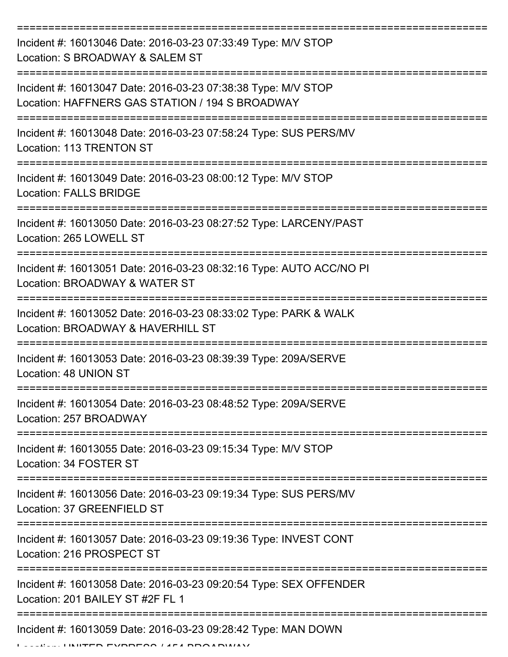| Incident #: 16013046 Date: 2016-03-23 07:33:49 Type: M/V STOP<br>Location: S BROADWAY & SALEM ST                    |
|---------------------------------------------------------------------------------------------------------------------|
| Incident #: 16013047 Date: 2016-03-23 07:38:38 Type: M/V STOP<br>Location: HAFFNERS GAS STATION / 194 S BROADWAY    |
| Incident #: 16013048 Date: 2016-03-23 07:58:24 Type: SUS PERS/MV<br><b>Location: 113 TRENTON ST</b>                 |
| Incident #: 16013049 Date: 2016-03-23 08:00:12 Type: M/V STOP<br><b>Location: FALLS BRIDGE</b>                      |
| Incident #: 16013050 Date: 2016-03-23 08:27:52 Type: LARCENY/PAST<br>Location: 265 LOWELL ST<br>------------------- |
| Incident #: 16013051 Date: 2016-03-23 08:32:16 Type: AUTO ACC/NO PI<br>Location: BROADWAY & WATER ST                |
| Incident #: 16013052 Date: 2016-03-23 08:33:02 Type: PARK & WALK<br>Location: BROADWAY & HAVERHILL ST               |
| Incident #: 16013053 Date: 2016-03-23 08:39:39 Type: 209A/SERVE<br>Location: 48 UNION ST                            |
| Incident #: 16013054 Date: 2016-03-23 08:48:52 Type: 209A/SERVE<br>Location: 257 BROADWAY                           |
| Incident #: 16013055 Date: 2016-03-23 09:15:34 Type: M/V STOP<br>Location: 34 FOSTER ST                             |
| Incident #: 16013056 Date: 2016-03-23 09:19:34 Type: SUS PERS/MV<br>Location: 37 GREENFIELD ST                      |
| Incident #: 16013057 Date: 2016-03-23 09:19:36 Type: INVEST CONT<br>Location: 216 PROSPECT ST                       |
| Incident #: 16013058 Date: 2016-03-23 09:20:54 Type: SEX OFFENDER<br>Location: 201 BAILEY ST #2F FL 1               |
| Incident #: 16013059 Date: 2016-03-23 09:28:42 Type: MAN DOWN                                                       |

LINITED EVODEOO / 4F 4 BBOADWAY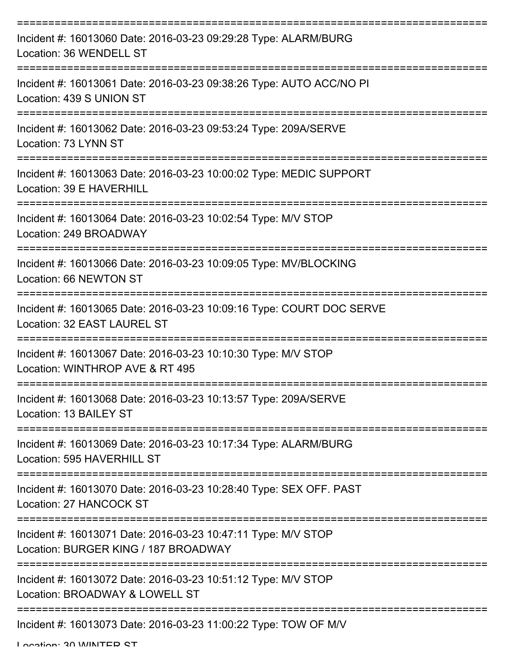| Incident #: 16013060 Date: 2016-03-23 09:29:28 Type: ALARM/BURG<br>Location: 36 WENDELL ST            |
|-------------------------------------------------------------------------------------------------------|
| Incident #: 16013061 Date: 2016-03-23 09:38:26 Type: AUTO ACC/NO PI<br>Location: 439 S UNION ST       |
| Incident #: 16013062 Date: 2016-03-23 09:53:24 Type: 209A/SERVE<br>Location: 73 LYNN ST               |
| Incident #: 16013063 Date: 2016-03-23 10:00:02 Type: MEDIC SUPPORT<br>Location: 39 E HAVERHILL        |
| Incident #: 16013064 Date: 2016-03-23 10:02:54 Type: M/V STOP<br>Location: 249 BROADWAY               |
| Incident #: 16013066 Date: 2016-03-23 10:09:05 Type: MV/BLOCKING<br>Location: 66 NEWTON ST            |
| Incident #: 16013065 Date: 2016-03-23 10:09:16 Type: COURT DOC SERVE<br>Location: 32 EAST LAUREL ST   |
| Incident #: 16013067 Date: 2016-03-23 10:10:30 Type: M/V STOP<br>Location: WINTHROP AVE & RT 495      |
| Incident #: 16013068 Date: 2016-03-23 10:13:57 Type: 209A/SERVE<br>Location: 13 BAILEY ST             |
| Incident #: 16013069 Date: 2016-03-23 10:17:34 Type: ALARM/BURG<br>Location: 595 HAVERHILL ST         |
| Incident #: 16013070 Date: 2016-03-23 10:28:40 Type: SEX OFF. PAST<br>Location: 27 HANCOCK ST         |
| Incident #: 16013071 Date: 2016-03-23 10:47:11 Type: M/V STOP<br>Location: BURGER KING / 187 BROADWAY |
| Incident #: 16013072 Date: 2016-03-23 10:51:12 Type: M/V STOP<br>Location: BROADWAY & LOWELL ST       |
| Incident #: 16013073 Date: 2016-03-23 11:00:22 Type: TOW OF M/V                                       |

Location: 20 WINTED CT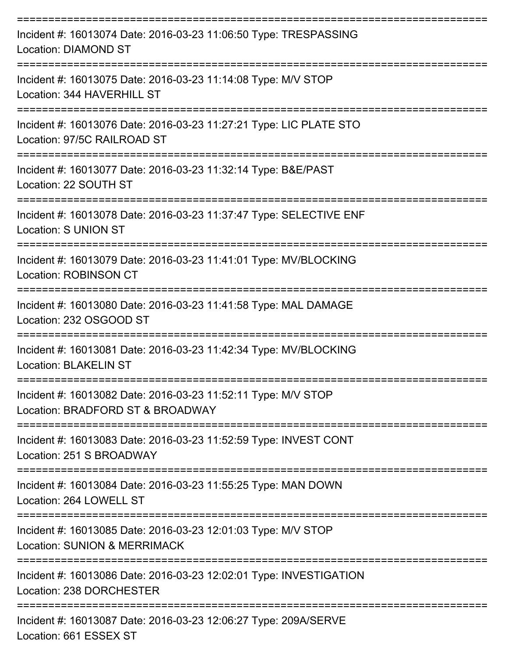| Incident #: 16013074 Date: 2016-03-23 11:06:50 Type: TRESPASSING<br><b>Location: DIAMOND ST</b>          |
|----------------------------------------------------------------------------------------------------------|
| Incident #: 16013075 Date: 2016-03-23 11:14:08 Type: M/V STOP<br>Location: 344 HAVERHILL ST              |
| Incident #: 16013076 Date: 2016-03-23 11:27:21 Type: LIC PLATE STO<br>Location: 97/5C RAILROAD ST        |
| Incident #: 16013077 Date: 2016-03-23 11:32:14 Type: B&E/PAST<br>Location: 22 SOUTH ST                   |
| Incident #: 16013078 Date: 2016-03-23 11:37:47 Type: SELECTIVE ENF<br><b>Location: S UNION ST</b>        |
| Incident #: 16013079 Date: 2016-03-23 11:41:01 Type: MV/BLOCKING<br><b>Location: ROBINSON CT</b>         |
| Incident #: 16013080 Date: 2016-03-23 11:41:58 Type: MAL DAMAGE<br>Location: 232 OSGOOD ST               |
| Incident #: 16013081 Date: 2016-03-23 11:42:34 Type: MV/BLOCKING<br><b>Location: BLAKELIN ST</b>         |
| Incident #: 16013082 Date: 2016-03-23 11:52:11 Type: M/V STOP<br>Location: BRADFORD ST & BROADWAY        |
| Incident #: 16013083 Date: 2016-03-23 11:52:59 Type: INVEST CONT<br>Location: 251 S BROADWAY             |
| Incident #: 16013084 Date: 2016-03-23 11:55:25 Type: MAN DOWN<br>Location: 264 LOWELL ST                 |
| Incident #: 16013085 Date: 2016-03-23 12:01:03 Type: M/V STOP<br><b>Location: SUNION &amp; MERRIMACK</b> |
| Incident #: 16013086 Date: 2016-03-23 12:02:01 Type: INVESTIGATION<br>Location: 238 DORCHESTER           |
| Incident #: 16013087 Date: 2016-03-23 12:06:27 Type: 209A/SERVE                                          |

Location: 661 ESSEX ST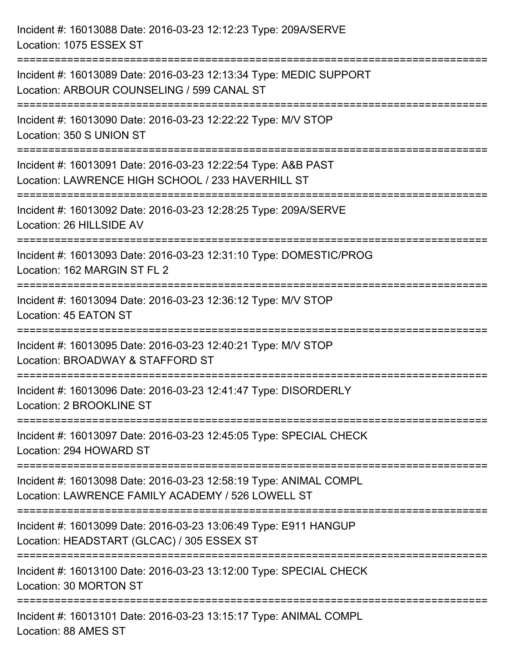| Incident #: 16013088 Date: 2016-03-23 12:12:23 Type: 209A/SERVE<br>Location: 1075 ESSEX ST                             |
|------------------------------------------------------------------------------------------------------------------------|
| Incident #: 16013089 Date: 2016-03-23 12:13:34 Type: MEDIC SUPPORT<br>Location: ARBOUR COUNSELING / 599 CANAL ST       |
| Incident #: 16013090 Date: 2016-03-23 12:22:22 Type: M/V STOP<br>Location: 350 S UNION ST                              |
| Incident #: 16013091 Date: 2016-03-23 12:22:54 Type: A&B PAST<br>Location: LAWRENCE HIGH SCHOOL / 233 HAVERHILL ST     |
| Incident #: 16013092 Date: 2016-03-23 12:28:25 Type: 209A/SERVE<br>Location: 26 HILLSIDE AV                            |
| Incident #: 16013093 Date: 2016-03-23 12:31:10 Type: DOMESTIC/PROG<br>Location: 162 MARGIN ST FL 2                     |
| Incident #: 16013094 Date: 2016-03-23 12:36:12 Type: M/V STOP<br>Location: 45 EATON ST<br>========================     |
| Incident #: 16013095 Date: 2016-03-23 12:40:21 Type: M/V STOP<br>Location: BROADWAY & STAFFORD ST                      |
| Incident #: 16013096 Date: 2016-03-23 12:41:47 Type: DISORDERLY<br>Location: 2 BROOKLINE ST                            |
| Incident #: 16013097 Date: 2016-03-23 12:45:05 Type: SPECIAL CHECK<br>Location: 294 HOWARD ST                          |
| Incident #: 16013098 Date: 2016-03-23 12:58:19 Type: ANIMAL COMPL<br>Location: LAWRENCE FAMILY ACADEMY / 526 LOWELL ST |
| Incident #: 16013099 Date: 2016-03-23 13:06:49 Type: E911 HANGUP<br>Location: HEADSTART (GLCAC) / 305 ESSEX ST         |
| Incident #: 16013100 Date: 2016-03-23 13:12:00 Type: SPECIAL CHECK<br>Location: 30 MORTON ST                           |
| Incident #: 16013101 Date: 2016-03-23 13:15:17 Type: ANIMAL COMPL<br>Location: 88 AMES ST                              |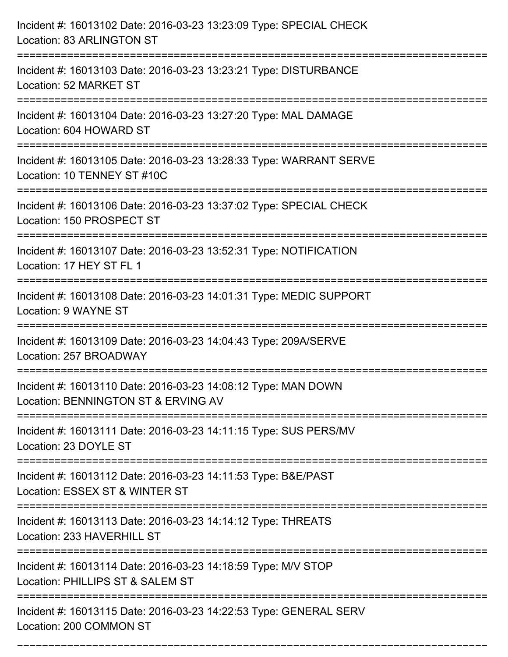| Incident #: 16013102 Date: 2016-03-23 13:23:09 Type: SPECIAL CHECK<br>Location: 83 ARLINGTON ST      |
|------------------------------------------------------------------------------------------------------|
| Incident #: 16013103 Date: 2016-03-23 13:23:21 Type: DISTURBANCE<br>Location: 52 MARKET ST           |
| Incident #: 16013104 Date: 2016-03-23 13:27:20 Type: MAL DAMAGE<br>Location: 604 HOWARD ST           |
| Incident #: 16013105 Date: 2016-03-23 13:28:33 Type: WARRANT SERVE<br>Location: 10 TENNEY ST #10C    |
| Incident #: 16013106 Date: 2016-03-23 13:37:02 Type: SPECIAL CHECK<br>Location: 150 PROSPECT ST      |
| Incident #: 16013107 Date: 2016-03-23 13:52:31 Type: NOTIFICATION<br>Location: 17 HEY ST FL 1        |
| Incident #: 16013108 Date: 2016-03-23 14:01:31 Type: MEDIC SUPPORT<br>Location: 9 WAYNE ST           |
| Incident #: 16013109 Date: 2016-03-23 14:04:43 Type: 209A/SERVE<br>Location: 257 BROADWAY            |
| Incident #: 16013110 Date: 2016-03-23 14:08:12 Type: MAN DOWN<br>Location: BENNINGTON ST & ERVING AV |
| Incident #: 16013111 Date: 2016-03-23 14:11:15 Type: SUS PERS/MV<br>Location: 23 DOYLE ST            |
| Incident #: 16013112 Date: 2016-03-23 14:11:53 Type: B&E/PAST<br>Location: ESSEX ST & WINTER ST      |
| Incident #: 16013113 Date: 2016-03-23 14:14:12 Type: THREATS<br>Location: 233 HAVERHILL ST           |
| Incident #: 16013114 Date: 2016-03-23 14:18:59 Type: M/V STOP<br>Location: PHILLIPS ST & SALEM ST    |
| Incident #: 16013115 Date: 2016-03-23 14:22:53 Type: GENERAL SERV<br>Location: 200 COMMON ST         |

===========================================================================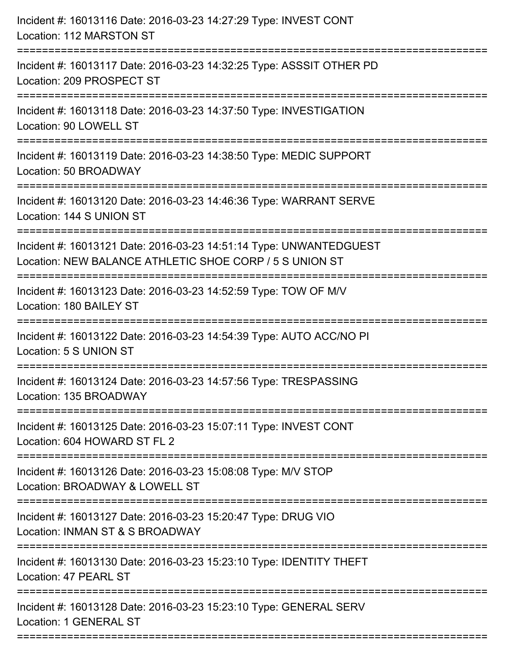| Incident #: 16013116 Date: 2016-03-23 14:27:29 Type: INVEST CONT<br>Location: 112 MARSTON ST                                                        |
|-----------------------------------------------------------------------------------------------------------------------------------------------------|
| Incident #: 16013117 Date: 2016-03-23 14:32:25 Type: ASSSIT OTHER PD<br>Location: 209 PROSPECT ST                                                   |
| Incident #: 16013118 Date: 2016-03-23 14:37:50 Type: INVESTIGATION<br>Location: 90 LOWELL ST                                                        |
| Incident #: 16013119 Date: 2016-03-23 14:38:50 Type: MEDIC SUPPORT<br>Location: 50 BROADWAY                                                         |
| Incident #: 16013120 Date: 2016-03-23 14:46:36 Type: WARRANT SERVE<br>Location: 144 S UNION ST<br>============================                      |
| Incident #: 16013121 Date: 2016-03-23 14:51:14 Type: UNWANTEDGUEST<br>Location: NEW BALANCE ATHLETIC SHOE CORP / 5 S UNION ST<br>------------------ |
| Incident #: 16013123 Date: 2016-03-23 14:52:59 Type: TOW OF M/V<br>Location: 180 BAILEY ST                                                          |
| Incident #: 16013122 Date: 2016-03-23 14:54:39 Type: AUTO ACC/NO PI<br>Location: 5 S UNION ST                                                       |
| Incident #: 16013124 Date: 2016-03-23 14:57:56 Type: TRESPASSING<br>Location: 135 BROADWAY                                                          |
| Incident #: 16013125 Date: 2016-03-23 15:07:11 Type: INVEST CONT<br>Location: 604 HOWARD ST FL 2                                                    |
| Incident #: 16013126 Date: 2016-03-23 15:08:08 Type: M/V STOP<br>Location: BROADWAY & LOWELL ST                                                     |
| Incident #: 16013127 Date: 2016-03-23 15:20:47 Type: DRUG VIO<br>Location: INMAN ST & S BROADWAY                                                    |
| Incident #: 16013130 Date: 2016-03-23 15:23:10 Type: IDENTITY THEFT<br>Location: 47 PEARL ST                                                        |
| Incident #: 16013128 Date: 2016-03-23 15:23:10 Type: GENERAL SERV<br>Location: 1 GENERAL ST                                                         |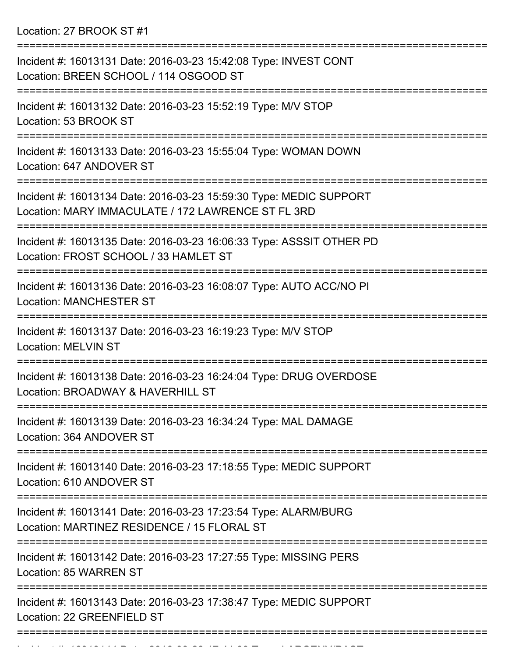Location: 27 BROOK ST #1

| Incident #: 16013131 Date: 2016-03-23 15:42:08 Type: INVEST CONT<br>Location: BREEN SCHOOL / 114 OSGOOD ST               |
|--------------------------------------------------------------------------------------------------------------------------|
| Incident #: 16013132 Date: 2016-03-23 15:52:19 Type: M/V STOP<br>Location: 53 BROOK ST                                   |
| Incident #: 16013133 Date: 2016-03-23 15:55:04 Type: WOMAN DOWN<br>Location: 647 ANDOVER ST                              |
| Incident #: 16013134 Date: 2016-03-23 15:59:30 Type: MEDIC SUPPORT<br>Location: MARY IMMACULATE / 172 LAWRENCE ST FL 3RD |
| Incident #: 16013135 Date: 2016-03-23 16:06:33 Type: ASSSIT OTHER PD<br>Location: FROST SCHOOL / 33 HAMLET ST            |
| Incident #: 16013136 Date: 2016-03-23 16:08:07 Type: AUTO ACC/NO PI<br><b>Location: MANCHESTER ST</b>                    |
| Incident #: 16013137 Date: 2016-03-23 16:19:23 Type: M/V STOP<br><b>Location: MELVIN ST</b>                              |
| Incident #: 16013138 Date: 2016-03-23 16:24:04 Type: DRUG OVERDOSE<br>Location: BROADWAY & HAVERHILL ST                  |
| Incident #: 16013139 Date: 2016-03-23 16:34:24 Type: MAL DAMAGE<br>Location: 364 ANDOVER ST                              |
| ==================<br>Incident #: 16013140 Date: 2016-03-23 17:18:55 Type: MEDIC SUPPORT<br>Location: 610 ANDOVER ST     |
| Incident #: 16013141 Date: 2016-03-23 17:23:54 Type: ALARM/BURG<br>Location: MARTINEZ RESIDENCE / 15 FLORAL ST           |
| Incident #: 16013142 Date: 2016-03-23 17:27:55 Type: MISSING PERS<br>Location: 85 WARREN ST                              |
| Incident #: 16013143 Date: 2016-03-23 17:38:47 Type: MEDIC SUPPORT<br>Location: 22 GREENFIELD ST                         |
|                                                                                                                          |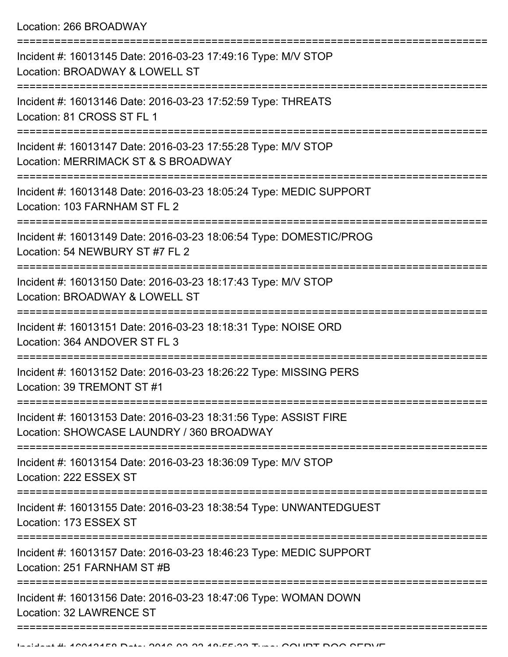Location: 266 BROADWAY

| Incident #: 16013145 Date: 2016-03-23 17:49:16 Type: M/V STOP<br>Location: BROADWAY & LOWELL ST               |
|---------------------------------------------------------------------------------------------------------------|
| Incident #: 16013146 Date: 2016-03-23 17:52:59 Type: THREATS<br>Location: 81 CROSS ST FL 1<br>--------------- |
| Incident #: 16013147 Date: 2016-03-23 17:55:28 Type: M/V STOP<br>Location: MERRIMACK ST & S BROADWAY          |
| Incident #: 16013148 Date: 2016-03-23 18:05:24 Type: MEDIC SUPPORT<br>Location: 103 FARNHAM ST FL 2           |
| Incident #: 16013149 Date: 2016-03-23 18:06:54 Type: DOMESTIC/PROG<br>Location: 54 NEWBURY ST #7 FL 2         |
| Incident #: 16013150 Date: 2016-03-23 18:17:43 Type: M/V STOP<br>Location: BROADWAY & LOWELL ST               |
| Incident #: 16013151 Date: 2016-03-23 18:18:31 Type: NOISE ORD<br>Location: 364 ANDOVER ST FL 3               |
| Incident #: 16013152 Date: 2016-03-23 18:26:22 Type: MISSING PERS<br>Location: 39 TREMONT ST #1               |
| Incident #: 16013153 Date: 2016-03-23 18:31:56 Type: ASSIST FIRE<br>Location: SHOWCASE LAUNDRY / 360 BROADWAY |
| Incident #: 16013154 Date: 2016-03-23 18:36:09 Type: M/V STOP<br>Location: 222 ESSEX ST                       |
| Incident #: 16013155 Date: 2016-03-23 18:38:54 Type: UNWANTEDGUEST<br>Location: 173 ESSEX ST                  |
| Incident #: 16013157 Date: 2016-03-23 18:46:23 Type: MEDIC SUPPORT<br>Location: 251 FARNHAM ST #B             |
| Incident #: 16013156 Date: 2016-03-23 18:47:06 Type: WOMAN DOWN<br>Location: 32 LAWRENCE ST                   |
|                                                                                                               |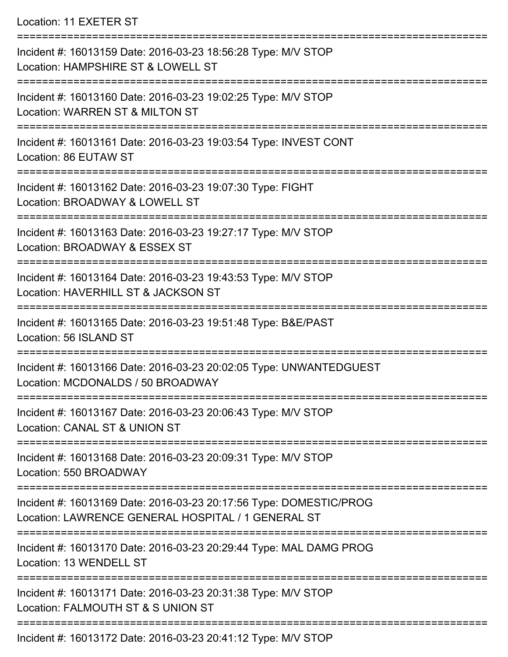## Location: 11 EXETER ST

| Incident #: 16013159 Date: 2016-03-23 18:56:28 Type: M/V STOP<br>Location: HAMPSHIRE ST & LOWELL ST                      |
|--------------------------------------------------------------------------------------------------------------------------|
| Incident #: 16013160 Date: 2016-03-23 19:02:25 Type: M/V STOP<br>Location: WARREN ST & MILTON ST                         |
| Incident #: 16013161 Date: 2016-03-23 19:03:54 Type: INVEST CONT<br>Location: 86 EUTAW ST                                |
| Incident #: 16013162 Date: 2016-03-23 19:07:30 Type: FIGHT<br>Location: BROADWAY & LOWELL ST                             |
| Incident #: 16013163 Date: 2016-03-23 19:27:17 Type: M/V STOP<br>Location: BROADWAY & ESSEX ST                           |
| Incident #: 16013164 Date: 2016-03-23 19:43:53 Type: M/V STOP<br>Location: HAVERHILL ST & JACKSON ST                     |
| Incident #: 16013165 Date: 2016-03-23 19:51:48 Type: B&E/PAST<br>Location: 56 ISLAND ST                                  |
| Incident #: 16013166 Date: 2016-03-23 20:02:05 Type: UNWANTEDGUEST<br>Location: MCDONALDS / 50 BROADWAY                  |
| Incident #: 16013167 Date: 2016-03-23 20:06:43 Type: M/V STOP<br><b>Location: CANAL ST &amp; UNION ST</b>                |
| Incident #: 16013168 Date: 2016-03-23 20:09:31 Type: M/V STOP<br>Location: 550 BROADWAY                                  |
| Incident #: 16013169 Date: 2016-03-23 20:17:56 Type: DOMESTIC/PROG<br>Location: LAWRENCE GENERAL HOSPITAL / 1 GENERAL ST |
| Incident #: 16013170 Date: 2016-03-23 20:29:44 Type: MAL DAMG PROG<br>Location: 13 WENDELL ST                            |
| Incident #: 16013171 Date: 2016-03-23 20:31:38 Type: M/V STOP<br>Location: FALMOUTH ST & S UNION ST                      |
| Incident #: 16013172 Date: 2016-03-23 20:41:12 Type: M/V STOP                                                            |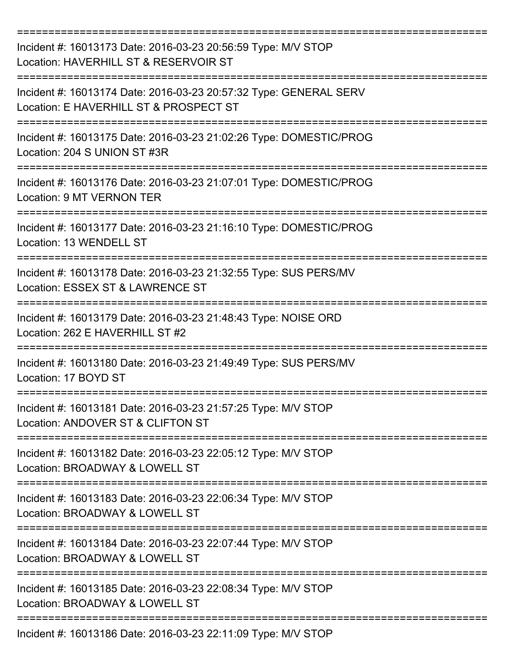| Incident #: 16013173 Date: 2016-03-23 20:56:59 Type: M/V STOP<br>Location: HAVERHILL ST & RESERVOIR ST                       |
|------------------------------------------------------------------------------------------------------------------------------|
| Incident #: 16013174 Date: 2016-03-23 20:57:32 Type: GENERAL SERV<br>Location: E HAVERHILL ST & PROSPECT ST                  |
| Incident #: 16013175 Date: 2016-03-23 21:02:26 Type: DOMESTIC/PROG<br>Location: 204 S UNION ST #3R                           |
| Incident #: 16013176 Date: 2016-03-23 21:07:01 Type: DOMESTIC/PROG<br>Location: 9 MT VERNON TER                              |
| Incident #: 16013177 Date: 2016-03-23 21:16:10 Type: DOMESTIC/PROG<br>Location: 13 WENDELL ST                                |
| Incident #: 16013178 Date: 2016-03-23 21:32:55 Type: SUS PERS/MV<br>Location: ESSEX ST & LAWRENCE ST                         |
| Incident #: 16013179 Date: 2016-03-23 21:48:43 Type: NOISE ORD<br>Location: 262 E HAVERHILL ST #2                            |
| Incident #: 16013180 Date: 2016-03-23 21:49:49 Type: SUS PERS/MV<br>Location: 17 BOYD ST<br>-------------------------------- |
| Incident #: 16013181 Date: 2016-03-23 21:57:25 Type: M/V STOP<br>Location: ANDOVER ST & CLIFTON ST                           |
| Incident #: 16013182 Date: 2016-03-23 22:05:12 Type: M/V STOP<br>Location: BROADWAY & LOWELL ST                              |
| Incident #: 16013183 Date: 2016-03-23 22:06:34 Type: M/V STOP<br>Location: BROADWAY & LOWELL ST                              |
| Incident #: 16013184 Date: 2016-03-23 22:07:44 Type: M/V STOP<br>Location: BROADWAY & LOWELL ST                              |
| Incident #: 16013185 Date: 2016-03-23 22:08:34 Type: M/V STOP<br>Location: BROADWAY & LOWELL ST                              |
| Incident #: 16013186 Date: 2016-03-23 22:11:09 Type: M/V STOP                                                                |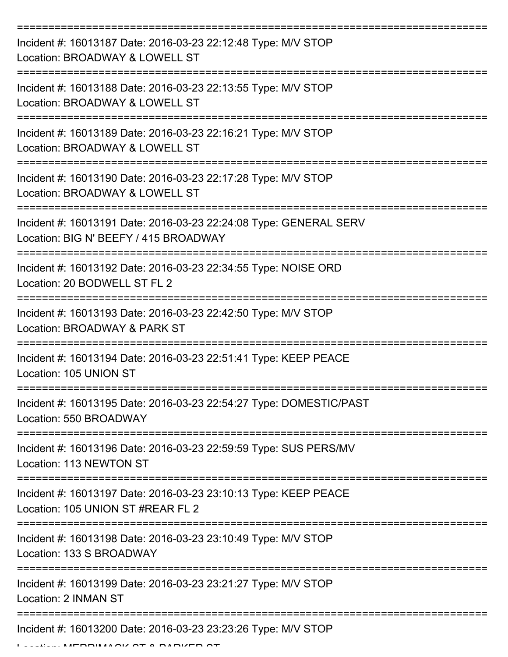| Incident #: 16013187 Date: 2016-03-23 22:12:48 Type: M/V STOP<br>Location: BROADWAY & LOWELL ST                                                                                                                                                                                                                                                                                                                                                                                                                                                             |
|-------------------------------------------------------------------------------------------------------------------------------------------------------------------------------------------------------------------------------------------------------------------------------------------------------------------------------------------------------------------------------------------------------------------------------------------------------------------------------------------------------------------------------------------------------------|
| Incident #: 16013188 Date: 2016-03-23 22:13:55 Type: M/V STOP<br>Location: BROADWAY & LOWELL ST                                                                                                                                                                                                                                                                                                                                                                                                                                                             |
| Incident #: 16013189 Date: 2016-03-23 22:16:21 Type: M/V STOP<br>Location: BROADWAY & LOWELL ST                                                                                                                                                                                                                                                                                                                                                                                                                                                             |
| Incident #: 16013190 Date: 2016-03-23 22:17:28 Type: M/V STOP<br>Location: BROADWAY & LOWELL ST                                                                                                                                                                                                                                                                                                                                                                                                                                                             |
| Incident #: 16013191 Date: 2016-03-23 22:24:08 Type: GENERAL SERV<br>Location: BIG N' BEEFY / 415 BROADWAY                                                                                                                                                                                                                                                                                                                                                                                                                                                  |
| Incident #: 16013192 Date: 2016-03-23 22:34:55 Type: NOISE ORD<br>Location: 20 BODWELL ST FL 2                                                                                                                                                                                                                                                                                                                                                                                                                                                              |
| Incident #: 16013193 Date: 2016-03-23 22:42:50 Type: M/V STOP<br>Location: BROADWAY & PARK ST                                                                                                                                                                                                                                                                                                                                                                                                                                                               |
| Incident #: 16013194 Date: 2016-03-23 22:51:41 Type: KEEP PEACE<br>Location: 105 UNION ST                                                                                                                                                                                                                                                                                                                                                                                                                                                                   |
| Incident #: 16013195 Date: 2016-03-23 22:54:27 Type: DOMESTIC/PAST<br>Location: 550 BROADWAY                                                                                                                                                                                                                                                                                                                                                                                                                                                                |
| Incident #: 16013196 Date: 2016-03-23 22:59:59 Type: SUS PERS/MV<br>Location: 113 NEWTON ST                                                                                                                                                                                                                                                                                                                                                                                                                                                                 |
| Incident #: 16013197 Date: 2016-03-23 23:10:13 Type: KEEP PEACE<br>Location: 105 UNION ST #REAR FL 2                                                                                                                                                                                                                                                                                                                                                                                                                                                        |
| Incident #: 16013198 Date: 2016-03-23 23:10:49 Type: M/V STOP<br>Location: 133 S BROADWAY                                                                                                                                                                                                                                                                                                                                                                                                                                                                   |
| Incident #: 16013199 Date: 2016-03-23 23:21:27 Type: M/V STOP<br>Location: 2 INMAN ST                                                                                                                                                                                                                                                                                                                                                                                                                                                                       |
| Incident #: 16013200 Date: 2016-03-23 23:23:26 Type: M/V STOP<br>$\blacksquare$ $\blacksquare$ $\blacksquare$ $\blacksquare$ $\blacksquare$ $\blacksquare$ $\blacksquare$ $\blacksquare$ $\blacksquare$ $\blacksquare$ $\blacksquare$ $\blacksquare$ $\blacksquare$ $\blacksquare$ $\blacksquare$ $\blacksquare$ $\blacksquare$ $\blacksquare$ $\blacksquare$ $\blacksquare$ $\blacksquare$ $\blacksquare$ $\blacksquare$ $\blacksquare$ $\blacksquare$ $\blacksquare$ $\blacksquare$ $\blacksquare$ $\blacksquare$ $\blacksquare$ $\blacksquare$ $\blacks$ |